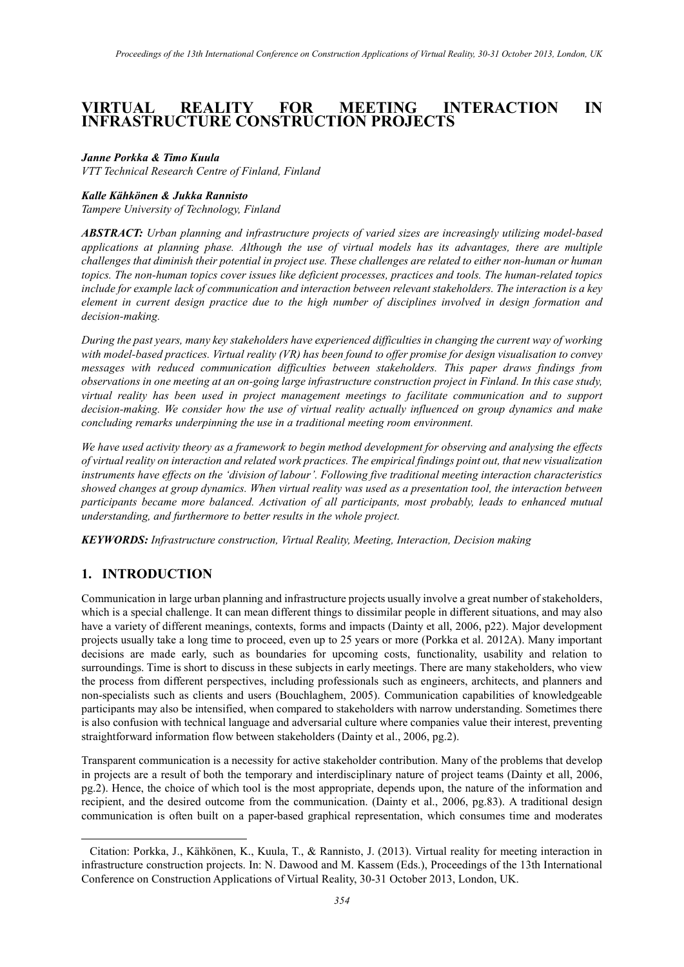# **VIRTUAL REALITY FOR MEETING INTERACTION IN INFRASTRUCTURE CONSTRUCTION PROJECTS[1](#page-0-0)**

#### *Janne Porkka & Timo Kuula*

*VTT Technical Research Centre of Finland, Finland*

#### *Kalle Kähkönen & Jukka Rannisto*

*Tampere University of Technology, Finland*

*ABSTRACT: Urban planning and infrastructure projects of varied sizes are increasingly utilizing model-based applications at planning phase. Although the use of virtual models has its advantages, there are multiple challenges that diminish their potential in project use. These challenges are related to either non-human or human topics. The non-human topics cover issues like deficient processes, practices and tools. The human-related topics include for example lack of communication and interaction between relevant stakeholders. The interaction is a key element in current design practice due to the high number of disciplines involved in design formation and decision-making.*

*During the past years, many key stakeholders have experienced difficulties in changing the current way of working with model-based practices. Virtual reality (VR) has been found to offer promise for design visualisation to convey messages with reduced communication difficulties between stakeholders. This paper draws findings from observations in one meeting at an on-going large infrastructure construction project in Finland. In this case study, virtual reality has been used in project management meetings to facilitate communication and to support decision-making. We consider how the use of virtual reality actually influenced on group dynamics and make concluding remarks underpinning the use in a traditional meeting room environment.*

*We have used activity theory as a framework to begin method development for observing and analysing the effects of virtual reality on interaction and related work practices. The empirical findings point out, that new visualization instruments have effects on the 'division of labour'. Following five traditional meeting interaction characteristics showed changes at group dynamics. When virtual reality was used as a presentation tool, the interaction between participants became more balanced. Activation of all participants, most probably, leads to enhanced mutual understanding, and furthermore to better results in the whole project.*

*KEYWORDS: Infrastructure construction, Virtual Reality, Meeting, Interaction, Decision making*

## **1. INTRODUCTION**

-

Communication in large urban planning and infrastructure projects usually involve a great number of stakeholders, which is a special challenge. It can mean different things to dissimilar people in different situations, and may also have a variety of different meanings, contexts, forms and impacts (Dainty et all, 2006, p22). Major development projects usually take a long time to proceed, even up to 25 years or more (Porkka et al. 2012A). Many important decisions are made early, such as boundaries for upcoming costs, functionality, usability and relation to surroundings. Time is short to discuss in these subjects in early meetings. There are many stakeholders, who view the process from different perspectives, including professionals such as engineers, architects, and planners and non-specialists such as clients and users (Bouchlaghem, 2005). Communication capabilities of knowledgeable participants may also be intensified, when compared to stakeholders with narrow understanding. Sometimes there is also confusion with technical language and adversarial culture where companies value their interest, preventing straightforward information flow between stakeholders (Dainty et al., 2006, pg.2).

Transparent communication is a necessity for active stakeholder contribution. Many of the problems that develop in projects are a result of both the temporary and interdisciplinary nature of project teams (Dainty et all, 2006, pg.2). Hence, the choice of which tool is the most appropriate, depends upon, the nature of the information and recipient, and the desired outcome from the communication. (Dainty et al., 2006, pg.83). A traditional design communication is often built on a paper-based graphical representation, which consumes time and moderates

<span id="page-0-0"></span><sup>1</sup> Citation: Porkka, J., Kähkönen, K., Kuula, T., & Rannisto, J. (2013). Virtual reality for meeting interaction in infrastructure construction projects. In: N. Dawood and M. Kassem (Eds.), Proceedings of the 13th International Conference on Construction Applications of Virtual Reality, 30-31 October 2013, London, UK.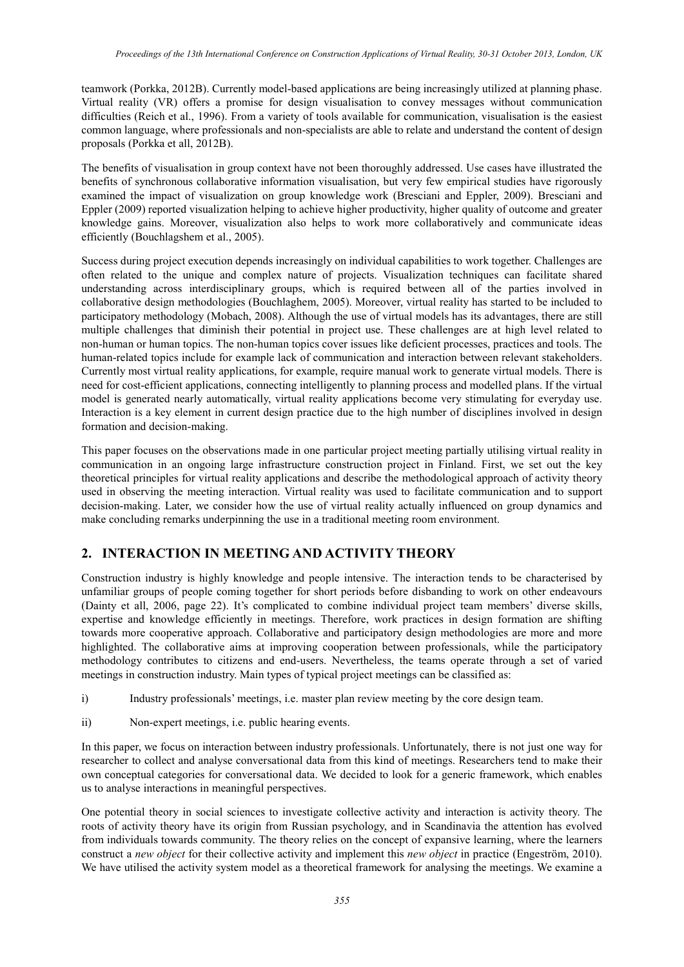teamwork (Porkka, 2012B). Currently model-based applications are being increasingly utilized at planning phase. Virtual reality (VR) offers a promise for design visualisation to convey messages without communication difficulties (Reich et al., 1996). From a variety of tools available for communication, visualisation is the easiest common language, where professionals and non-specialists are able to relate and understand the content of design proposals (Porkka et all, 2012B).

The benefits of visualisation in group context have not been thoroughly addressed. Use cases have illustrated the benefits of synchronous collaborative information visualisation, but very few empirical studies have rigorously examined the impact of visualization on group knowledge work (Bresciani and Eppler, 2009). Bresciani and Eppler (2009) reported visualization helping to achieve higher productivity, higher quality of outcome and greater knowledge gains. Moreover, visualization also helps to work more collaboratively and communicate ideas efficiently (Bouchlagshem et al., 2005).

Success during project execution depends increasingly on individual capabilities to work together. Challenges are often related to the unique and complex nature of projects. Visualization techniques can facilitate shared understanding across interdisciplinary groups, which is required between all of the parties involved in collaborative design methodologies (Bouchlaghem, 2005). Moreover, virtual reality has started to be included to participatory methodology (Mobach, 2008). Although the use of virtual models has its advantages, there are still multiple challenges that diminish their potential in project use. These challenges are at high level related to non-human or human topics. The non-human topics cover issues like deficient processes, practices and tools. The human-related topics include for example lack of communication and interaction between relevant stakeholders. Currently most virtual reality applications, for example, require manual work to generate virtual models. There is need for cost-efficient applications, connecting intelligently to planning process and modelled plans. If the virtual model is generated nearly automatically, virtual reality applications become very stimulating for everyday use. Interaction is a key element in current design practice due to the high number of disciplines involved in design formation and decision-making.

This paper focuses on the observations made in one particular project meeting partially utilising virtual reality in communication in an ongoing large infrastructure construction project in Finland. First, we set out the key theoretical principles for virtual reality applications and describe the methodological approach of activity theory used in observing the meeting interaction. Virtual reality was used to facilitate communication and to support decision-making. Later, we consider how the use of virtual reality actually influenced on group dynamics and make concluding remarks underpinning the use in a traditional meeting room environment.

## **2. INTERACTION IN MEETING AND ACTIVITY THEORY**

Construction industry is highly knowledge and people intensive. The interaction tends to be characterised by unfamiliar groups of people coming together for short periods before disbanding to work on other endeavours (Dainty et all, 2006, page 22). It's complicated to combine individual project team members' diverse skills, expertise and knowledge efficiently in meetings. Therefore, work practices in design formation are shifting towards more cooperative approach. Collaborative and participatory design methodologies are more and more highlighted. The collaborative aims at improving cooperation between professionals, while the participatory methodology contributes to citizens and end-users. Nevertheless, the teams operate through a set of varied meetings in construction industry. Main types of typical project meetings can be classified as:

- i) Industry professionals' meetings, i.e. master plan review meeting by the core design team.
- ii) Non-expert meetings, i.e. public hearing events.

In this paper, we focus on interaction between industry professionals. Unfortunately, there is not just one way for researcher to collect and analyse conversational data from this kind of meetings. Researchers tend to make their own conceptual categories for conversational data. We decided to look for a generic framework, which enables us to analyse interactions in meaningful perspectives.

One potential theory in social sciences to investigate collective activity and interaction is activity theory. The roots of activity theory have its origin from Russian psychology, and in Scandinavia the attention has evolved from individuals towards community. The theory relies on the concept of expansive learning, where the learners construct a *new object* for their collective activity and implement this *new object* in practice (Engeström, 2010). We have utilised the activity system model as a theoretical framework for analysing the meetings. We examine a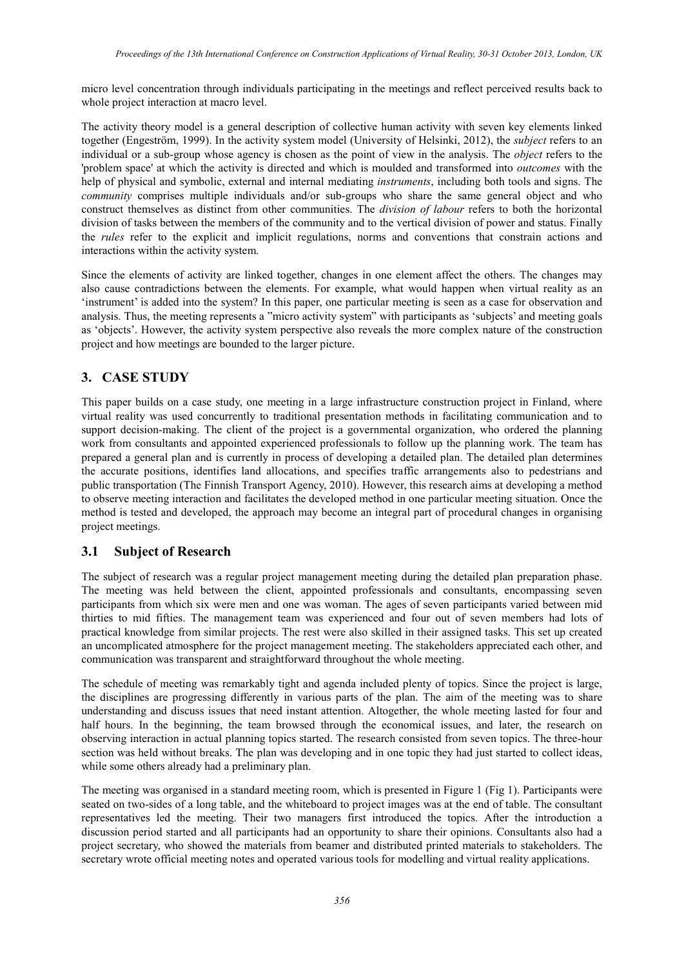micro level concentration through individuals participating in the meetings and reflect perceived results back to whole project interaction at macro level.

The activity theory model is a general description of collective human activity with seven key elements linked together (Engeström, 1999). In the activity system model (University of Helsinki, 2012), the *subject* refers to an individual or a sub-group whose agency is chosen as the point of view in the analysis. The *object* refers to the 'problem space' at which the activity is directed and which is moulded and transformed into *outcomes* with the help of physical and symbolic, external and internal mediating *instruments*, including both tools and signs. The *community* comprises multiple individuals and/or sub-groups who share the same general object and who construct themselves as distinct from other communities. The *division of labour* refers to both the horizontal division of tasks between the members of the community and to the vertical division of power and status. Finally the *rules* refer to the explicit and implicit regulations, norms and conventions that constrain actions and interactions within the activity system.

Since the elements of activity are linked together, changes in one element affect the others. The changes may also cause contradictions between the elements. For example, what would happen when virtual reality as an 'instrument' is added into the system? In this paper, one particular meeting is seen as a case for observation and analysis. Thus, the meeting represents a "micro activity system" with participants as 'subjects' and meeting goals as 'objects'. However, the activity system perspective also reveals the more complex nature of the construction project and how meetings are bounded to the larger picture.

## **3. CASE STUDY**

This paper builds on a case study, one meeting in a large infrastructure construction project in Finland, where virtual reality was used concurrently to traditional presentation methods in facilitating communication and to support decision-making. The client of the project is a governmental organization, who ordered the planning work from consultants and appointed experienced professionals to follow up the planning work. The team has prepared a general plan and is currently in process of developing a detailed plan. The detailed plan determines the accurate positions, identifies land allocations, and specifies traffic arrangements also to pedestrians and public transportation (The Finnish Transport Agency, 2010). However, this research aims at developing a method to observe meeting interaction and facilitates the developed method in one particular meeting situation. Once the method is tested and developed, the approach may become an integral part of procedural changes in organising project meetings.

# **3.1 Subject of Research**

The subject of research was a regular project management meeting during the detailed plan preparation phase. The meeting was held between the client, appointed professionals and consultants, encompassing seven participants from which six were men and one was woman. The ages of seven participants varied between mid thirties to mid fifties. The management team was experienced and four out of seven members had lots of practical knowledge from similar projects. The rest were also skilled in their assigned tasks. This set up created an uncomplicated atmosphere for the project management meeting. The stakeholders appreciated each other, and communication was transparent and straightforward throughout the whole meeting.

The schedule of meeting was remarkably tight and agenda included plenty of topics. Since the project is large, the disciplines are progressing differently in various parts of the plan. The aim of the meeting was to share understanding and discuss issues that need instant attention. Altogether, the whole meeting lasted for four and half hours. In the beginning, the team browsed through the economical issues, and later, the research on observing interaction in actual planning topics started. The research consisted from seven topics. The three-hour section was held without breaks. The plan was developing and in one topic they had just started to collect ideas, while some others already had a preliminary plan.

The meeting was organised in a standard meeting room, which is presented in Figure 1 (Fig 1). Participants were seated on two-sides of a long table, and the whiteboard to project images was at the end of table. The consultant representatives led the meeting. Their two managers first introduced the topics. After the introduction a discussion period started and all participants had an opportunity to share their opinions. Consultants also had a project secretary, who showed the materials from beamer and distributed printed materials to stakeholders. The secretary wrote official meeting notes and operated various tools for modelling and virtual reality applications.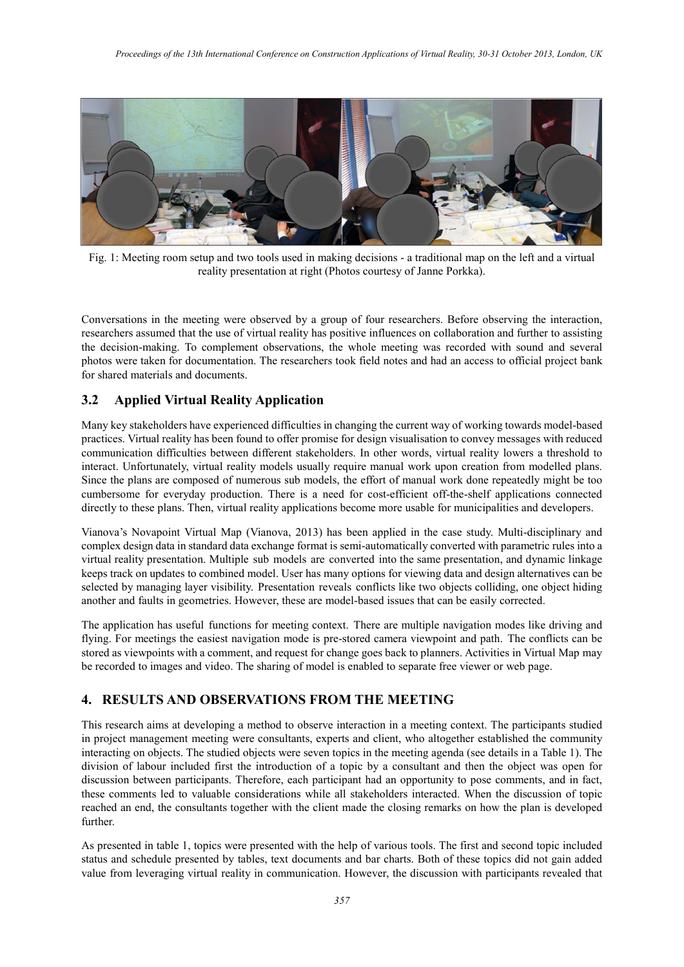

Fig. 1: Meeting room setup and two tools used in making decisions - a traditional map on the left and a virtual reality presentation at right (Photos courtesy of Janne Porkka).

Conversations in the meeting were observed by a group of four researchers. Before observing the interaction, researchers assumed that the use of virtual reality has positive influences on collaboration and further to assisting the decision-making. To complement observations, the whole meeting was recorded with sound and several photos were taken for documentation. The researchers took field notes and had an access to official project bank for shared materials and documents.

## **3.2 Applied Virtual Reality Application**

Many key stakeholders have experienced difficulties in changing the current way of working towards model-based practices. Virtual reality has been found to offer promise for design visualisation to convey messages with reduced communication difficulties between different stakeholders. In other words, virtual reality lowers a threshold to interact. Unfortunately, virtual reality models usually require manual work upon creation from modelled plans. Since the plans are composed of numerous sub models, the effort of manual work done repeatedly might be too cumbersome for everyday production. There is a need for cost-efficient off-the-shelf applications connected directly to these plans. Then, virtual reality applications become more usable for municipalities and developers.

Vianova's Novapoint Virtual Map (Vianova, 2013) has been applied in the case study. Multi-disciplinary and complex design data in standard data exchange format is semi-automatically converted with parametric rules into a virtual reality presentation. Multiple sub models are converted into the same presentation, and dynamic linkage keeps track on updates to combined model. User has many options for viewing data and design alternatives can be selected by managing layer visibility. Presentation reveals conflicts like two objects colliding, one object hiding another and faults in geometries. However, these are model-based issues that can be easily corrected.

The application has useful functions for meeting context. There are multiple navigation modes like driving and flying. For meetings the easiest navigation mode is pre-stored camera viewpoint and path. The conflicts can be stored as viewpoints with a comment, and request for change goes back to planners. Activities in Virtual Map may be recorded to images and video. The sharing of model is enabled to separate free viewer or web page.

## **4. RESULTS AND OBSERVATIONS FROM THE MEETING**

This research aims at developing a method to observe interaction in a meeting context. The participants studied in project management meeting were consultants, experts and client, who altogether established the community interacting on objects. The studied objects were seven topics in the meeting agenda (see details in a Table 1). The division of labour included first the introduction of a topic by a consultant and then the object was open for discussion between participants. Therefore, each participant had an opportunity to pose comments, and in fact, these comments led to valuable considerations while all stakeholders interacted. When the discussion of topic reached an end, the consultants together with the client made the closing remarks on how the plan is developed further.

As presented in table 1, topics were presented with the help of various tools. The first and second topic included status and schedule presented by tables, text documents and bar charts. Both of these topics did not gain added value from leveraging virtual reality in communication. However, the discussion with participants revealed that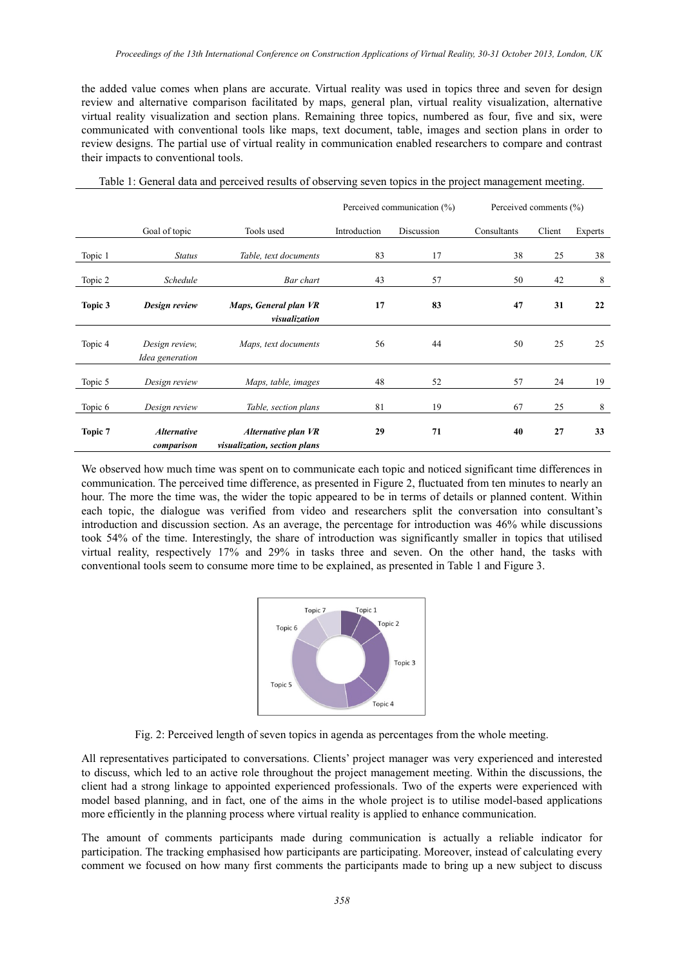the added value comes when plans are accurate. Virtual reality was used in topics three and seven for design review and alternative comparison facilitated by maps, general plan, virtual reality visualization, alternative virtual reality visualization and section plans. Remaining three topics, numbered as four, five and six, were communicated with conventional tools like maps, text document, table, images and section plans in order to review designs. The partial use of virtual reality in communication enabled researchers to compare and contrast their impacts to conventional tools.

| Table 1: General data and perceived results of observing seven topics in the project management meeting. |  |  |  |
|----------------------------------------------------------------------------------------------------------|--|--|--|

|         |                                   |                                                     | Perceived communication (%) |            | Perceived comments (%) |        |         |
|---------|-----------------------------------|-----------------------------------------------------|-----------------------------|------------|------------------------|--------|---------|
|         | Goal of topic                     | Tools used                                          | Introduction                | Discussion | Consultants            | Client | Experts |
| Topic 1 | <b>Status</b>                     | Table, text documents                               | 83                          | 17         | 38                     | 25     | 38      |
| Topic 2 | Schedule                          | Bar chart                                           | 43                          | 57         | 50                     | 42     | 8       |
| Topic 3 | Design review                     | Maps, General plan VR<br>visualization              | 17                          | 83         | 47                     | 31     | 22      |
| Topic 4 | Design review,<br>Idea generation | Maps, text documents                                | 56                          | 44         | 50                     | 25     | 25      |
| Topic 5 | Design review                     | Maps, table, images                                 | 48                          | 52         | 57                     | 24     | 19      |
| Topic 6 | Design review                     | Table, section plans                                | 81                          | 19         | 67                     | 25     | 8       |
| Topic 7 | <b>Alternative</b><br>comparison  | Alternative plan VR<br>visualization, section plans | 29                          | 71         | 40                     | 27     | 33      |

We observed how much time was spent on to communicate each topic and noticed significant time differences in communication. The perceived time difference, as presented in Figure 2, fluctuated from ten minutes to nearly an hour. The more the time was, the wider the topic appeared to be in terms of details or planned content. Within each topic, the dialogue was verified from video and researchers split the conversation into consultant's introduction and discussion section. As an average, the percentage for introduction was 46% while discussions took 54% of the time. Interestingly, the share of introduction was significantly smaller in topics that utilised virtual reality, respectively 17% and 29% in tasks three and seven. On the other hand, the tasks with conventional tools seem to consume more time to be explained, as presented in Table 1 and Figure 3.



Fig. 2: Perceived length of seven topics in agenda as percentages from the whole meeting.

All representatives participated to conversations. Clients' project manager was very experienced and interested to discuss, which led to an active role throughout the project management meeting. Within the discussions, the client had a strong linkage to appointed experienced professionals. Two of the experts were experienced with model based planning, and in fact, one of the aims in the whole project is to utilise model-based applications more efficiently in the planning process where virtual reality is applied to enhance communication.

The amount of comments participants made during communication is actually a reliable indicator for participation. The tracking emphasised how participants are participating. Moreover, instead of calculating every comment we focused on how many first comments the participants made to bring up a new subject to discuss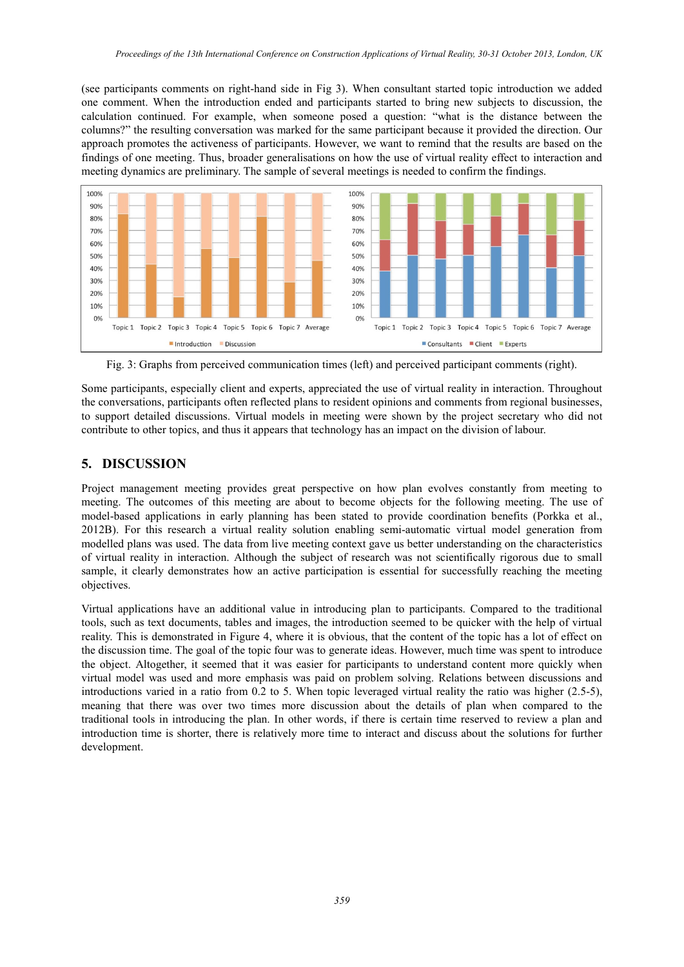(see participants comments on right-hand side in Fig 3). When consultant started topic introduction we added one comment. When the introduction ended and participants started to bring new subjects to discussion, the calculation continued. For example, when someone posed a question: "what is the distance between the columns?" the resulting conversation was marked for the same participant because it provided the direction. Our approach promotes the activeness of participants. However, we want to remind that the results are based on the findings of one meeting. Thus, broader generalisations on how the use of virtual reality effect to interaction and meeting dynamics are preliminary. The sample of several meetings is needed to confirm the findings.



Fig. 3: Graphs from perceived communication times (left) and perceived participant comments (right).

Some participants, especially client and experts, appreciated the use of virtual reality in interaction. Throughout the conversations, participants often reflected plans to resident opinions and comments from regional businesses, to support detailed discussions. Virtual models in meeting were shown by the project secretary who did not contribute to other topics, and thus it appears that technology has an impact on the division of labour.

## **5. DISCUSSION**

Project management meeting provides great perspective on how plan evolves constantly from meeting to meeting. The outcomes of this meeting are about to become objects for the following meeting. The use of model-based applications in early planning has been stated to provide coordination benefits (Porkka et al., 2012B). For this research a virtual reality solution enabling semi-automatic virtual model generation from modelled plans was used. The data from live meeting context gave us better understanding on the characteristics of virtual reality in interaction. Although the subject of research was not scientifically rigorous due to small sample, it clearly demonstrates how an active participation is essential for successfully reaching the meeting objectives.

Virtual applications have an additional value in introducing plan to participants. Compared to the traditional tools, such as text documents, tables and images, the introduction seemed to be quicker with the help of virtual reality. This is demonstrated in Figure 4, where it is obvious, that the content of the topic has a lot of effect on the discussion time. The goal of the topic four was to generate ideas. However, much time was spent to introduce the object. Altogether, it seemed that it was easier for participants to understand content more quickly when virtual model was used and more emphasis was paid on problem solving. Relations between discussions and introductions varied in a ratio from 0.2 to 5. When topic leveraged virtual reality the ratio was higher (2.5-5), meaning that there was over two times more discussion about the details of plan when compared to the traditional tools in introducing the plan. In other words, if there is certain time reserved to review a plan and introduction time is shorter, there is relatively more time to interact and discuss about the solutions for further development.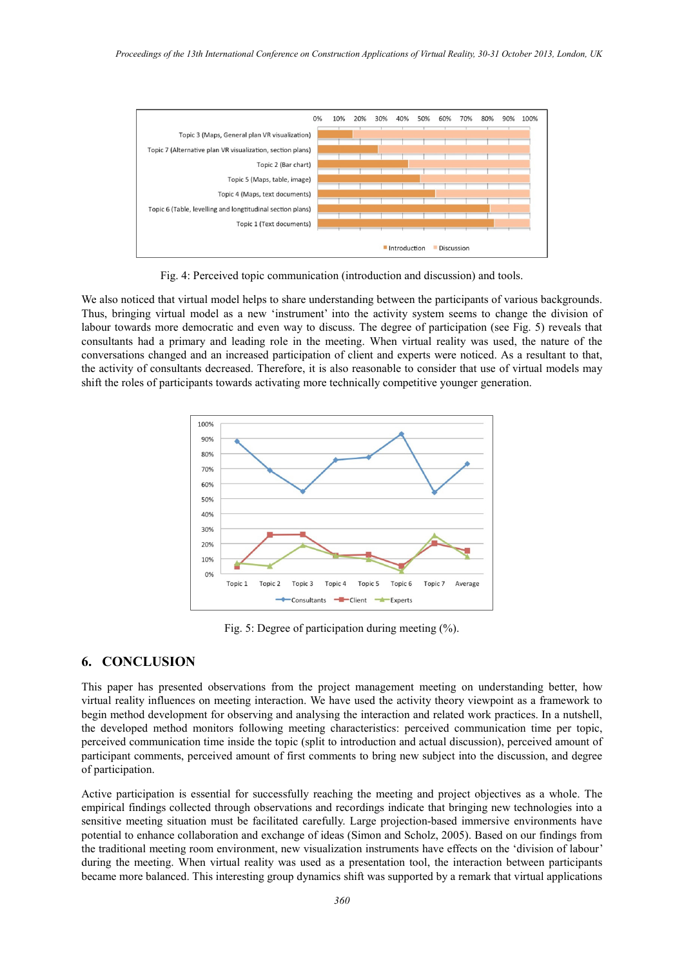

Fig. 4: Perceived topic communication (introduction and discussion) and tools.

We also noticed that virtual model helps to share understanding between the participants of various backgrounds. Thus, bringing virtual model as a new 'instrument' into the activity system seems to change the division of labour towards more democratic and even way to discuss. The degree of participation (see Fig. 5) reveals that consultants had a primary and leading role in the meeting. When virtual reality was used, the nature of the conversations changed and an increased participation of client and experts were noticed. As a resultant to that, the activity of consultants decreased. Therefore, it is also reasonable to consider that use of virtual models may shift the roles of participants towards activating more technically competitive younger generation.



Fig. 5: Degree of participation during meeting (%).

#### **6. CONCLUSION**

This paper has presented observations from the project management meeting on understanding better, how virtual reality influences on meeting interaction. We have used the activity theory viewpoint as a framework to begin method development for observing and analysing the interaction and related work practices. In a nutshell, the developed method monitors following meeting characteristics: perceived communication time per topic, perceived communication time inside the topic (split to introduction and actual discussion), perceived amount of participant comments, perceived amount of first comments to bring new subject into the discussion, and degree of participation.

Active participation is essential for successfully reaching the meeting and project objectives as a whole. The empirical findings collected through observations and recordings indicate that bringing new technologies into a sensitive meeting situation must be facilitated carefully. Large projection-based immersive environments have potential to enhance collaboration and exchange of ideas (Simon and Scholz, 2005). Based on our findings from the traditional meeting room environment, new visualization instruments have effects on the 'division of labour' during the meeting. When virtual reality was used as a presentation tool, the interaction between participants became more balanced. This interesting group dynamics shift was supported by a remark that virtual applications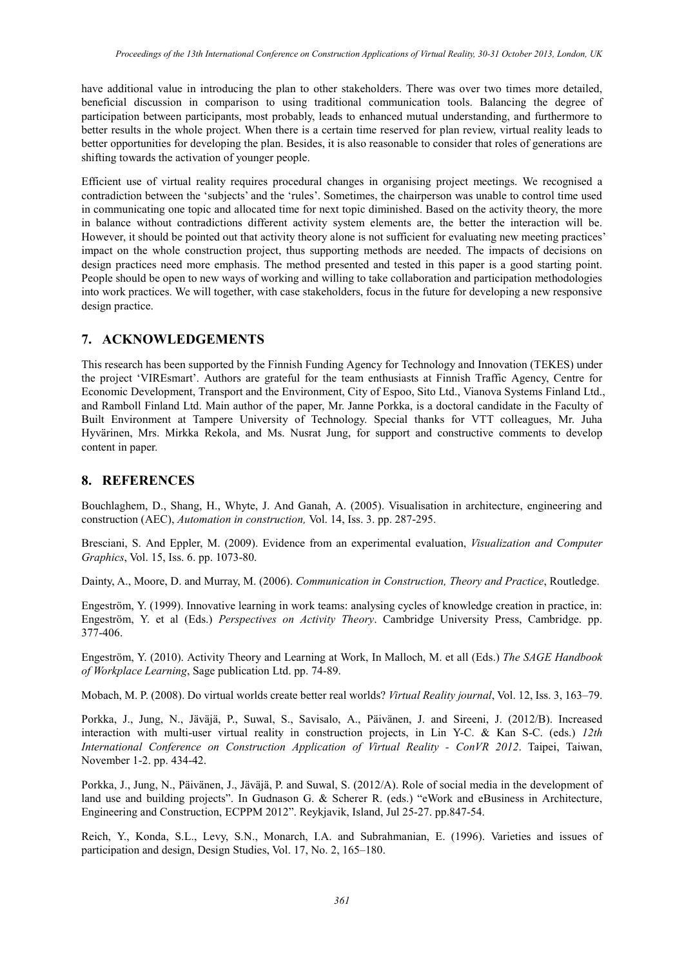have additional value in introducing the plan to other stakeholders. There was over two times more detailed, beneficial discussion in comparison to using traditional communication tools. Balancing the degree of participation between participants, most probably, leads to enhanced mutual understanding, and furthermore to better results in the whole project. When there is a certain time reserved for plan review, virtual reality leads to better opportunities for developing the plan. Besides, it is also reasonable to consider that roles of generations are shifting towards the activation of younger people.

Efficient use of virtual reality requires procedural changes in organising project meetings. We recognised a contradiction between the 'subjects' and the 'rules'. Sometimes, the chairperson was unable to control time used in communicating one topic and allocated time for next topic diminished. Based on the activity theory, the more in balance without contradictions different activity system elements are, the better the interaction will be. However, it should be pointed out that activity theory alone is not sufficient for evaluating new meeting practices' impact on the whole construction project, thus supporting methods are needed. The impacts of decisions on design practices need more emphasis. The method presented and tested in this paper is a good starting point. People should be open to new ways of working and willing to take collaboration and participation methodologies into work practices. We will together, with case stakeholders, focus in the future for developing a new responsive design practice.

## **7. ACKNOWLEDGEMENTS**

This research has been supported by the Finnish Funding Agency for Technology and Innovation (TEKES) under the project 'VIREsmart'. Authors are grateful for the team enthusiasts at Finnish Traffic Agency, Centre for Economic Development, Transport and the Environment, City of Espoo, Sito Ltd., Vianova Systems Finland Ltd., and Ramboll Finland Ltd. Main author of the paper, Mr. Janne Porkka, is a doctoral candidate in the Faculty of Built Environment at Tampere University of Technology. Special thanks for VTT colleagues, Mr. Juha Hyvärinen, Mrs. Mirkka Rekola, and Ms. Nusrat Jung, for support and constructive comments to develop content in paper.

## **8. REFERENCES**

Bouchlaghem, D., Shang, H., Whyte, J. And Ganah, A. (2005). Visualisation in architecture, engineering and construction (AEC), *Automation in construction,* Vol. 14, Iss. 3. pp. 287-295.

Bresciani, S. And Eppler, M. (2009). Evidence from an experimental evaluation, *Visualization and Computer Graphics*, Vol. 15, Iss. 6. pp. 1073-80.

Dainty, A., Moore, D. and Murray, M. (2006). *Communication in Construction, Theory and Practice*, Routledge.

Engeström, Y. (1999). Innovative learning in work teams: analysing cycles of knowledge creation in practice, in: Engeström, Y. et al (Eds.) *Perspectives on Activity Theory*. Cambridge University Press, Cambridge. pp. 377-406.

Engeström, Y. (2010). Activity Theory and Learning at Work, In Malloch, M. et all (Eds.) *The SAGE Handbook of Workplace Learning*, Sage publication Ltd. pp. 74-89.

Mobach, M. P. (2008). Do virtual worlds create better real worlds? *Virtual Reality journal*, Vol. 12, Iss. 3, 163–79.

Porkka, J., Jung, N., Jäväjä, P., Suwal, S., Savisalo, A., Päivänen, J. and Sireeni, J. (2012/B). Increased interaction with multi-user virtual reality in construction projects, in Lin Y-C. & Kan S-C. (eds.) *12th International Conference on Construction Application of Virtual Reality - ConVR 2012*. Taipei, Taiwan, November 1-2. pp. 434-42.

Porkka, J., Jung, N., Päivänen, J., Jäväjä, P. and Suwal, S. (2012/A). Role of social media in the development of land use and building projects". In Gudnason G. & Scherer R. (eds.) "eWork and eBusiness in Architecture, Engineering and Construction, ECPPM 2012". Reykjavik, Island, Jul 25-27. pp.847-54.

Reich, Y., Konda, S.L., Levy, S.N., Monarch, I.A. and Subrahmanian, E. (1996). Varieties and issues of participation and design, Design Studies, Vol. 17, No. 2, 165–180.